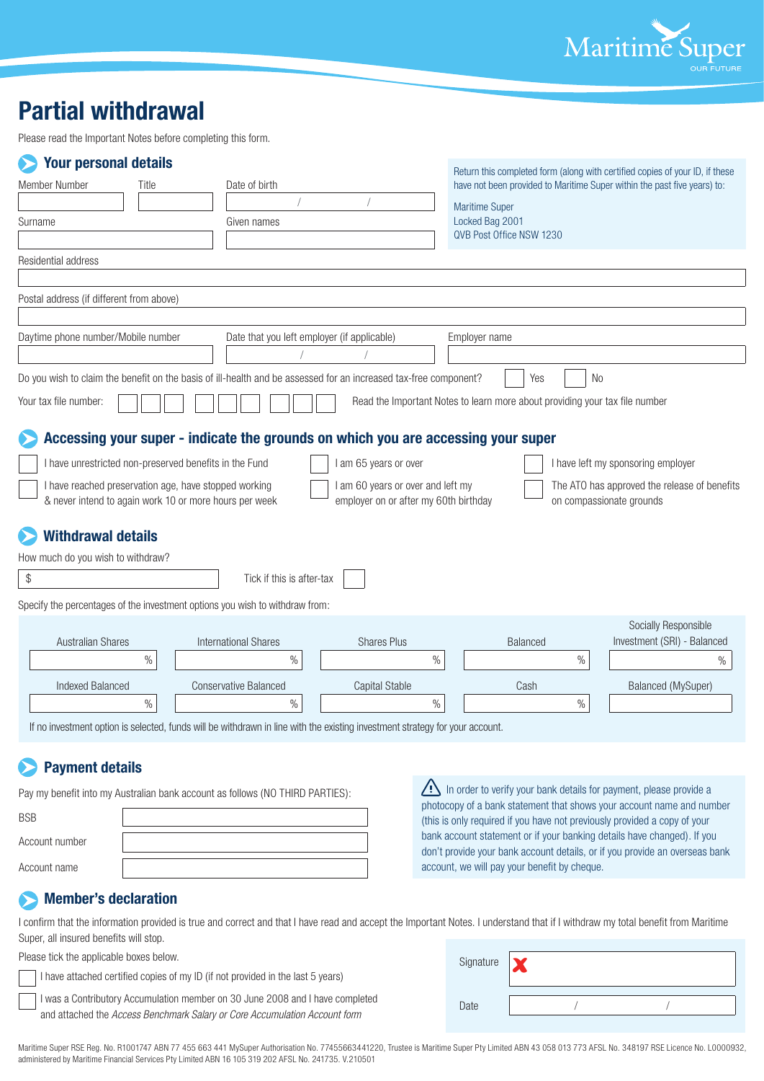

## **Partial withdrawal**

Please read the Important Notes before completing this form.

| <b>Your personal details</b>                                                                                          |       |                                                                                                                              |                                       |                                                                             | Return this completed form (along with certified copies of your ID, if these |  |
|-----------------------------------------------------------------------------------------------------------------------|-------|------------------------------------------------------------------------------------------------------------------------------|---------------------------------------|-----------------------------------------------------------------------------|------------------------------------------------------------------------------|--|
| Member Number                                                                                                         | Title | Date of birth                                                                                                                |                                       | have not been provided to Maritime Super within the past five years) to:    |                                                                              |  |
|                                                                                                                       |       |                                                                                                                              |                                       | <b>Maritime Super</b>                                                       |                                                                              |  |
| Surname                                                                                                               |       | Given names                                                                                                                  |                                       | Locked Bag 2001                                                             |                                                                              |  |
|                                                                                                                       |       |                                                                                                                              |                                       | QVB Post Office NSW 1230                                                    |                                                                              |  |
| Residential address                                                                                                   |       |                                                                                                                              |                                       |                                                                             |                                                                              |  |
|                                                                                                                       |       |                                                                                                                              |                                       |                                                                             |                                                                              |  |
| Postal address (if different from above)                                                                              |       |                                                                                                                              |                                       |                                                                             |                                                                              |  |
|                                                                                                                       |       |                                                                                                                              |                                       |                                                                             |                                                                              |  |
| Daytime phone number/Mobile number<br>Date that you left employer (if applicable)<br>Employer name                    |       |                                                                                                                              |                                       |                                                                             |                                                                              |  |
|                                                                                                                       |       |                                                                                                                              |                                       |                                                                             |                                                                              |  |
|                                                                                                                       |       | Do you wish to claim the benefit on the basis of ill-health and be assessed for an increased tax-free component?             |                                       | Yes                                                                         | <b>No</b>                                                                    |  |
| Your tax file number:                                                                                                 |       |                                                                                                                              |                                       | Read the Important Notes to learn more about providing your tax file number |                                                                              |  |
|                                                                                                                       |       |                                                                                                                              |                                       |                                                                             |                                                                              |  |
|                                                                                                                       |       | Accessing your super - indicate the grounds on which you are accessing your super                                            |                                       |                                                                             |                                                                              |  |
| I am 65 years or over<br>I have unrestricted non-preserved benefits in the Fund<br>I have left my sponsoring employer |       |                                                                                                                              |                                       |                                                                             |                                                                              |  |
|                                                                                                                       |       | I have reached preservation age, have stopped working                                                                        | I am 60 years or over and left my     |                                                                             | The ATO has approved the release of benefits                                 |  |
|                                                                                                                       |       | & never intend to again work 10 or more hours per week                                                                       | employer on or after my 60th birthday |                                                                             | on compassionate grounds                                                     |  |
| <b>Withdrawal details</b>                                                                                             |       |                                                                                                                              |                                       |                                                                             |                                                                              |  |
| How much do you wish to withdraw?                                                                                     |       |                                                                                                                              |                                       |                                                                             |                                                                              |  |
| \$                                                                                                                    |       | Tick if this is after-tax                                                                                                    |                                       |                                                                             |                                                                              |  |
|                                                                                                                       |       |                                                                                                                              |                                       |                                                                             |                                                                              |  |
|                                                                                                                       |       | Specify the percentages of the investment options you wish to withdraw from:                                                 |                                       |                                                                             |                                                                              |  |
|                                                                                                                       |       |                                                                                                                              |                                       |                                                                             | Socially Responsible                                                         |  |
| <b>Australian Shares</b>                                                                                              |       | <b>International Shares</b>                                                                                                  | <b>Shares Plus</b>                    | <b>Balanced</b>                                                             | Investment (SRI) - Balanced                                                  |  |
|                                                                                                                       | $\%$  | $\%$                                                                                                                         | $\%$                                  | $\%$                                                                        | %                                                                            |  |
| <b>Indexed Balanced</b>                                                                                               |       | <b>Conservative Balanced</b>                                                                                                 | <b>Capital Stable</b>                 | Cash                                                                        | <b>Balanced (MySuper)</b>                                                    |  |
|                                                                                                                       | $\%$  | $\%$                                                                                                                         | $\%$                                  | $\%$                                                                        |                                                                              |  |
|                                                                                                                       |       | If no investment option is selected, funds will be withdrawn in line with the existing investment strategy for your account. |                                       |                                                                             |                                                                              |  |
|                                                                                                                       |       |                                                                                                                              |                                       |                                                                             |                                                                              |  |

### **Payment details**

Pay my benefit into my Australian bank account as follows (NO THIRD PARTIES):

| <b>BSB</b>     |  |
|----------------|--|
| Account number |  |
| Account name   |  |

In order to verify your bank details for payment, please provide a photocopy of a bank statement that shows your account name and number (this is only required if you have not previously provided a copy of your bank account statement or if your banking details have changed). If you don't provide your bank account details, or if you provide an overseas bank account, we will pay your benefit by cheque.

#### **Member's declaration**  $\mathbf{\Sigma}$

I confirm that the information provided is true and correct and that I have read and accept the Important Notes. I understand that if I withdraw my total benefit from Maritime Super, all insured benefits will stop.

Please tick the applicable boxes below.

| $\overline{\phantom{a}}$ I have attached certified copies of my ID (if not provided in the last 5 years) |  |
|----------------------------------------------------------------------------------------------------------|--|
|----------------------------------------------------------------------------------------------------------|--|

I was a Contributory Accumulation member on 30 June 2008 and I have completed and attached the *Access Benchmark Salary or Core Accumulation Account form*

| Signature |  |  |
|-----------|--|--|
| Date      |  |  |

Maritime Super RSE Reg. No. R1001747 ABN 77 455 663 441 MySuper Authorisation No. 77455663441220, Trustee is Maritime Super Pty Limited ABN 43 058 013 773 AFSL No. 348197 RSE Licence No. L0000932, administered by Maritime Financial Services Pty Limited ABN 16 105 319 202 AFSL No. 241735. V.210501